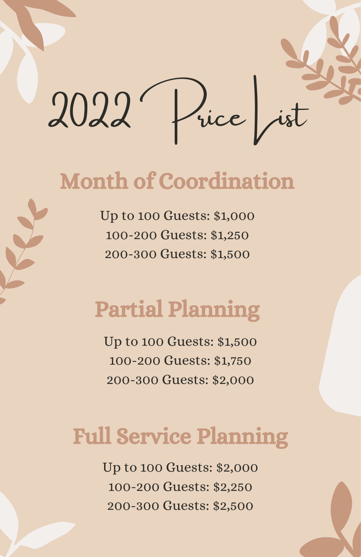

## Month of Coordination

Up to 100 Guests: \$1,000 100-200 Guests: \$1,250 200-300 Guests: \$1,500

# Partial Planning

Up to 100 Guests: \$1,500 100-200 Guests: \$1,750 200-300 Guests: \$2,000

# Full Service Planning

Up to 100 Guests: \$2,000 100-200 Guests: \$2,250 200-300 Guests: \$2,500